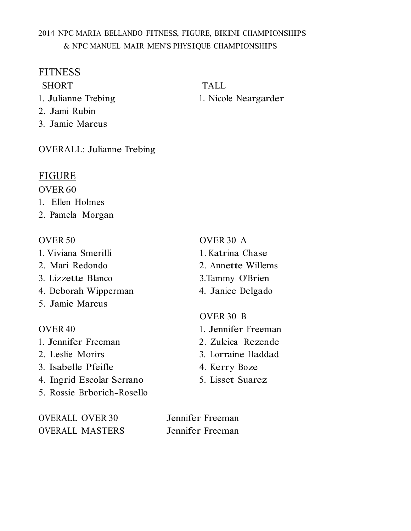## 2014 NPC MARIA BELLANDO FITNESS, FIGURE, BIKINI CHAMPIONSHIPS & NPC MANUEL MAIR MEN'S PHYSIQUE CHAMPIONSHIPS

## **FITNESS**

SHORT TALL

- 1. Julianne Trebing 1. Nicole Neargarder
- 2. Jami Rubin
- 3. Jamie Marcus

OVERALL: Julianne Trebing

## FIGURE

### OVER 60

- 1. Ellen Holmes
- 2. Pamela Morgan

### OVER 50 OVER 30 A

- 1. Viviana Smerilli 1. Katrina Chase
- 2. Mari Redondo 2. Annette Willems
- 3. Lizzette Blanco 3.Tammy O'Brien
- 4. Deborah Wipperman 4. Janice Delgado
- 5. Jamie Marcus

- 1. Jennifer Freeman 2. Zuleica Rezende
- 
- 3. Isabelle Pfeifle 4. Kerry Boze
- 4. Ingrid Escolar Serrano 5. Lisset Suarez
- 5. Rossie Brborich-Rosello

OVERALL OVER 30 Jennifer Freeman OVERALL MASTERS Jennifer Freeman

- 
- 
- 
- 

## OVER 30 B

- OVER 40 1. Jennifer Freeman
	-
- 2. Leslie Morirs 3. Lorraine Haddad
	-
	-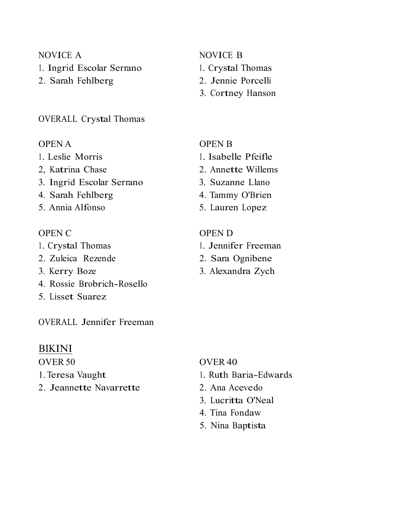- 1. Ingrid Escolar Serrano 1. Crystal Thomas
- 2. Sarah Fehlberg 2. Jennie Porcelli

### OVERALL Crystal Thomas

- 
- 
- 3. Ingrid Escolar Serrano 3. Suzanne Llano
- 4. Sarah Fehlberg 4. Tammy O'Brien
- 

- 
- 2. Zuleica Rezende 2. Sara Ognibene
- 
- 4. Rossie Brobrich-Rosello
- 5. Lisset Suarez

OVERALL Jennifer Freeman

### BIKINI

- 
- 2. Jeannette Navarrette 2. Ana Acevedo

## NOVICE A NOVICE B

- 
- 
- 3. Cortney Hanson

## OPEN A OPEN B

- 1. Leslie Morris 1. Isabelle Pfeifle
- 2, Katrina Chase 2. Annette Willems
	-
	-
- 5. Annia Alfonso 5. Lauren Lopez

## OPEN C OPEN D

- 1. Crystal Thomas 1. Jennifer Freeman
	-
- 3. Kerry Boze 3. Alexandra Zych

## OVER 50 OVER 40

- 1. Teresa Vaught 1. Ruth Baria-Edwards
	-
	- 3. Lucritta O'Neal
	- 4. Tina Fondaw
	- 5. Nina Baptista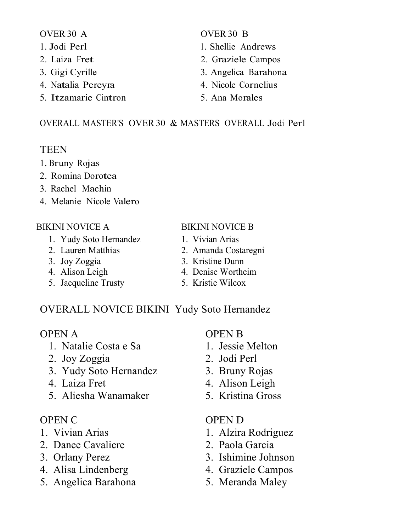- 
- 
- 
- 4. Natalia Pereyra 4. Nicole Cornelius
- 5. Itzamarie Cintron 5. Ana Morales

## OVER 30 A OVER 30 B

- 1. Jodi Perl 1. Shellie Andrews
- 2. Laiza Fret 2. Graziele Campos
- 3. Gigi Cyrille 3. Angelica Barahona
	-
	-

## OVERALL MASTER'S OVER 30 & MASTERS OVERALL Jodi Perl

# TEEN

- 1. Bruny Rojas
- 2. Romina Dorotea
- 3. Rachel Machin
- 4. Melanie Nicole Valero

- 1. Yudy Soto Hernandez 1. Vivian Arias
- 
- 
- 
- 5. Jacqueline Trusty 5. Kristie Wilcox
- BIKINI NOVICE A BIKINI NOVICE B
	-
	- 2. Lauren Matthias 2. Amanda Costaregni
	- 3. Joy Zoggia 3. Kristine Dunn
	- 4. Alison Leigh 4. Denise Wortheim
		-

# OVERALL NOVICE BIKINI Yudy Soto Hernandez

- 1. Natalie Costa e Sa 1. Jessie Melton
- 2. Joy Zoggia 2. Jodi Perl
- 3. Yudy Soto Hernandez 3. Bruny Rojas
- 
- 5. Aliesha Wanamaker 5. Kristina Gross

- 
- 2. Danee Cavaliere 2. Paola Garcia
- 
- 4. Alisa Lindenberg 4. Graziele Campos
- 5. Angelica Barahona 5. Meranda Maley

# OPEN A OPEN B

- 
- 
- 
- 4. Laiza Fret 4. Alison Leigh
	-

# OPEN C OPEN D

- 1. Vivian Arias 1. Alzira Rodriguez
	-
- 3. Orlany Perez 3. Ishimine Johnson
	-
	-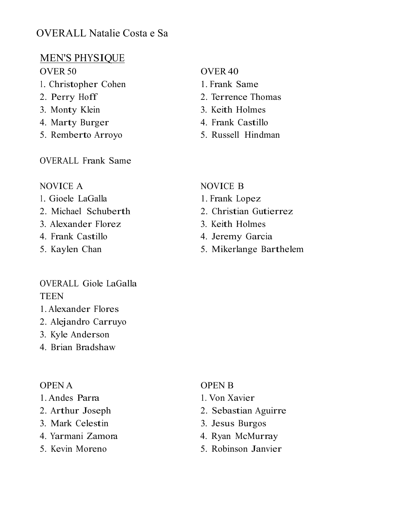# OVERALL Natalie Costa e Sa

# MEN'S PHYSIQUE

- 1. Christopher Cohen 1. Frank Same
- 
- 
- 4. Marty Burger 4. Frank Castillo
- 5. Remberto Arroyo 5. Russell Hindman

OVERALL Frank Same

## NOVICE A NOVICE B

- 1. Gioele LaGalla 1. Frank Lopez
- 
- 3. Alexander Florez 3. Keith Holmes
- 
- 

## OVERALL Giole LaGalla **TEEN**

- 1. Alexander Flores
- 2. Alejandro Carruyo
- 3. Kyle Anderson
- 4. Brian Bradshaw

## OPEN A OPEN B

- 1. Andes Parra 1. Von Xavier
- 
- 3. Mark Celestin 3. Jesus Burgos
- 4. Yarmani Zamora 4. Ryan McMurray
- 

# OVER 50 OVER 40

- 
- 2. Perry Hoff 2. Terrence Thomas
- 3. Monty Klein 3. Keith Holmes
	-
	-

- 
- 2. Michael Schuberth 2. Christian Gutierrez
	-
- 4. Frank Castillo 4. Jeremy Garcia
- 5. Kaylen Chan 5. Mikerlange Barthelem

- 
- 2. Arthur Joseph 2. Sebastian Aguirre
	-
	-
- 5. Kevin Moreno 5. Robinson Janvier